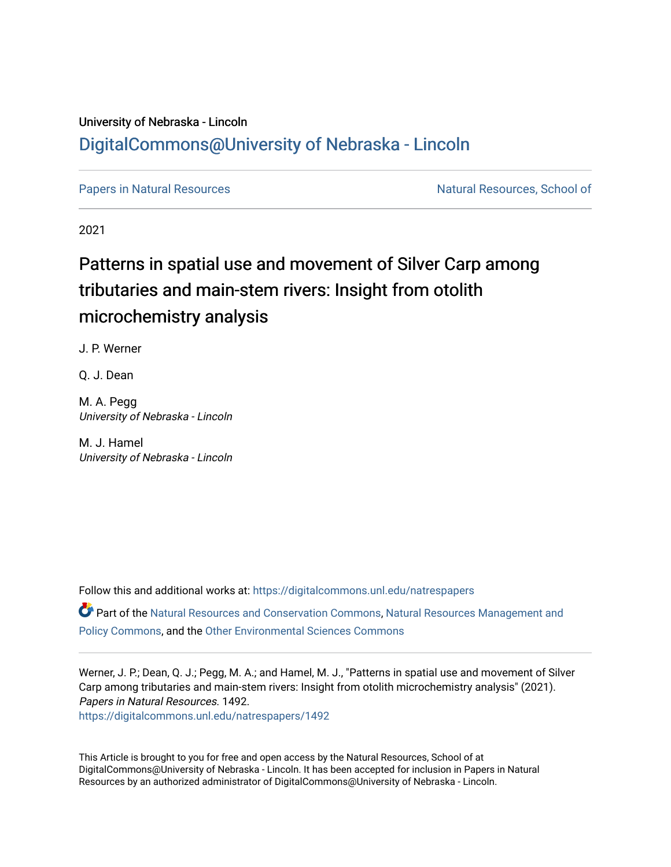### University of Nebraska - Lincoln [DigitalCommons@University of Nebraska - Lincoln](https://digitalcommons.unl.edu/)

[Papers in Natural Resources](https://digitalcommons.unl.edu/natrespapers) Natural Resources Natural Resources, School of

2021

## Patterns in spatial use and movement of Silver Carp among tributaries and main-stem rivers: Insight from otolith microchemistry analysis

J. P. Werner

Q. J. Dean

M. A. Pegg University of Nebraska - Lincoln

M. J. Hamel University of Nebraska - Lincoln

Follow this and additional works at: [https://digitalcommons.unl.edu/natrespapers](https://digitalcommons.unl.edu/natrespapers?utm_source=digitalcommons.unl.edu%2Fnatrespapers%2F1492&utm_medium=PDF&utm_campaign=PDFCoverPages) Part of the [Natural Resources and Conservation Commons,](https://network.bepress.com/hgg/discipline/168?utm_source=digitalcommons.unl.edu%2Fnatrespapers%2F1492&utm_medium=PDF&utm_campaign=PDFCoverPages) [Natural Resources Management and](https://network.bepress.com/hgg/discipline/170?utm_source=digitalcommons.unl.edu%2Fnatrespapers%2F1492&utm_medium=PDF&utm_campaign=PDFCoverPages) [Policy Commons](https://network.bepress.com/hgg/discipline/170?utm_source=digitalcommons.unl.edu%2Fnatrespapers%2F1492&utm_medium=PDF&utm_campaign=PDFCoverPages), and the [Other Environmental Sciences Commons](https://network.bepress.com/hgg/discipline/173?utm_source=digitalcommons.unl.edu%2Fnatrespapers%2F1492&utm_medium=PDF&utm_campaign=PDFCoverPages)

Werner, J. P.; Dean, Q. J.; Pegg, M. A.; and Hamel, M. J., "Patterns in spatial use and movement of Silver Carp among tributaries and main-stem rivers: Insight from otolith microchemistry analysis" (2021). Papers in Natural Resources. 1492.

[https://digitalcommons.unl.edu/natrespapers/1492](https://digitalcommons.unl.edu/natrespapers/1492?utm_source=digitalcommons.unl.edu%2Fnatrespapers%2F1492&utm_medium=PDF&utm_campaign=PDFCoverPages) 

This Article is brought to you for free and open access by the Natural Resources, School of at DigitalCommons@University of Nebraska - Lincoln. It has been accepted for inclusion in Papers in Natural Resources by an authorized administrator of DigitalCommons@University of Nebraska - Lincoln.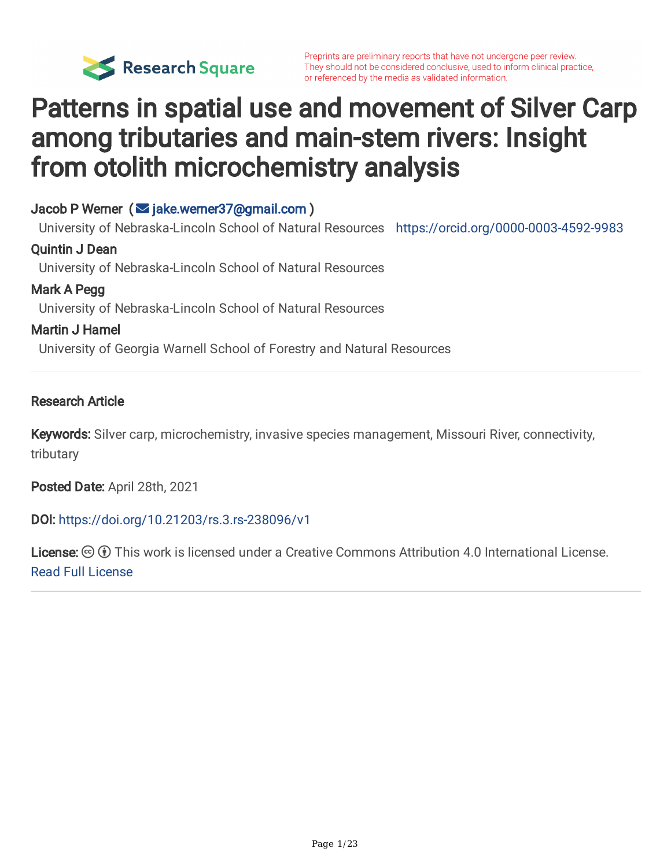

# Patterns in spatial use and movement of Silver Carp among tributaries and main-stem rivers: Insight from otolith microchemistry analysis

#### Jacob P Werner ( $\leq$  [jake.werner37@gmail.com](mailto:jake.werner37@gmail.com))

University of Nebraska-Lincoln School of Natural Resources <https://orcid.org/0000-0003-4592-9983>

#### Quintin J Dean

University of Nebraska-Lincoln School of Natural Resources

#### Mark A Pegg

University of Nebraska-Lincoln School of Natural Resources

#### Martin J Hamel

University of Georgia Warnell School of Forestry and Natural Resources

#### Research Article

Keywords: Silver carp, microchemistry, invasive species management, Missouri River, connectivity, tributary

Posted Date: April 28th, 2021

#### DOI: <https://doi.org/10.21203/rs.3.rs-238096/v1>

License:  $\odot$  0 This work is licensed under a Creative Commons Attribution 4.0 International License. Read Full [License](https://creativecommons.org/licenses/by/4.0/)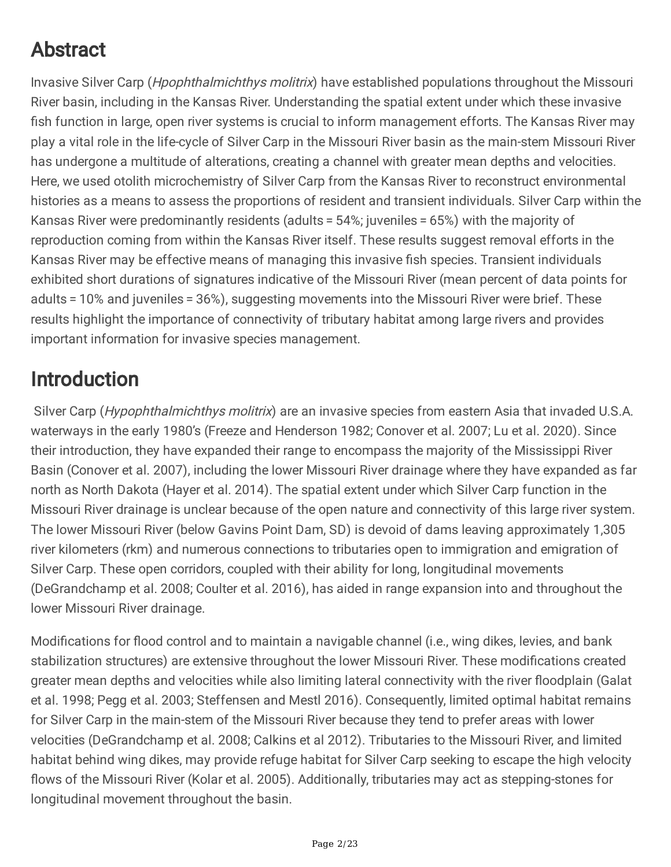## Abstract

Invasive Silver Carp (Hpophthalmichthys molitrix) have established populations throughout the Missouri River basin, including in the Kansas River. Understanding the spatial extent under which these invasive fish function in large, open river systems is crucial to inform management efforts. The Kansas River may play a vital role in the life-cycle of Silver Carp in the Missouri River basin as the main-stem Missouri River has undergone a multitude of alterations, creating a channel with greater mean depths and velocities. Here, we used otolith microchemistry of Silver Carp from the Kansas River to reconstruct environmental histories as a means to assess the proportions of resident and transient individuals. Silver Carp within the Kansas River were predominantly residents (adults = 54%; juveniles = 65%) with the majority of reproduction coming from within the Kansas River itself. These results suggest removal efforts in the Kansas River may be effective means of managing this invasive fish species. Transient individuals exhibited short durations of signatures indicative of the Missouri River (mean percent of data points for adults = 10% and juveniles = 36%), suggesting movements into the Missouri River were brief. These results highlight the importance of connectivity of tributary habitat among large rivers and provides important information for invasive species management.

## Introduction

Silver Carp (Hypophthalmichthys molitrix) are an invasive species from eastern Asia that invaded U.S.A. waterways in the early 1980's (Freeze and Henderson 1982; Conover et al. 2007; Lu et al. 2020). Since their introduction, they have expanded their range to encompass the majority of the Mississippi River Basin (Conover et al. 2007), including the lower Missouri River drainage where they have expanded as far north as North Dakota (Hayer et al. 2014). The spatial extent under which Silver Carp function in the Missouri River drainage is unclear because of the open nature and connectivity of this large river system. The lower Missouri River (below Gavins Point Dam, SD) is devoid of dams leaving approximately 1,305 river kilometers (rkm) and numerous connections to tributaries open to immigration and emigration of Silver Carp. These open corridors, coupled with their ability for long, longitudinal movements (DeGrandchamp et al. 2008; Coulter et al. 2016), has aided in range expansion into and throughout the lower Missouri River drainage.

Modifications for flood control and to maintain a navigable channel (i.e., wing dikes, levies, and bank stabilization structures) are extensive throughout the lower Missouri River. These modifications created greater mean depths and velocities while also limiting lateral connectivity with the river floodplain (Galat et al. 1998; Pegg et al. 2003; Steffensen and Mestl 2016). Consequently, limited optimal habitat remains for Silver Carp in the main-stem of the Missouri River because they tend to prefer areas with lower velocities (DeGrandchamp et al. 2008; Calkins et al 2012). Tributaries to the Missouri River, and limited habitat behind wing dikes, may provide refuge habitat for Silver Carp seeking to escape the high velocity flows of the Missouri River (Kolar et al. 2005). Additionally, tributaries may act as stepping-stones for longitudinal movement throughout the basin.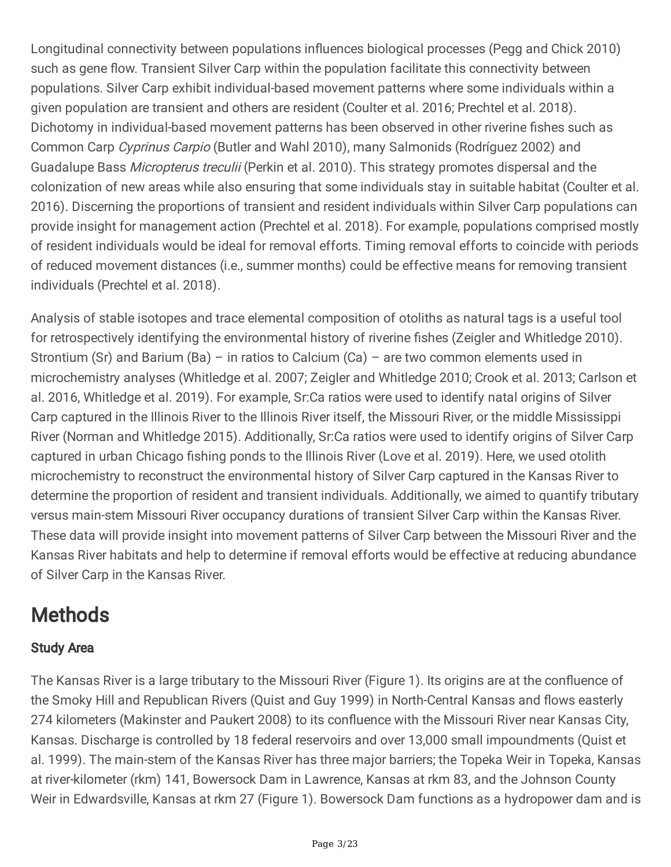Longitudinal connectivity between populations influences biological processes (Pegg and Chick 2010) such as gene flow. Transient Silver Carp within the population facilitate this connectivity between populations. Silver Carp exhibit individual-based movement patterns where some individuals within a given population are transient and others are resident (Coulter et al. 2016; Prechtel et al. 2018). Dichotomy in individual-based movement patterns has been observed in other riverine fishes such as Common Carp Cyprinus Carpio (Butler and Wahl 2010), many Salmonids (Rodríguez 2002) and Guadalupe Bass Micropterus treculii (Perkin et al. 2010). This strategy promotes dispersal and the colonization of new areas while also ensuring that some individuals stay in suitable habitat (Coulter et al. 2016). Discerning the proportions of transient and resident individuals within Silver Carp populations can provide insight for management action (Prechtel et al. 2018). For example, populations comprised mostly of resident individuals would be ideal for removal efforts. Timing removal efforts to coincide with periods of reduced movement distances (i.e., summer months) could be effective means for removing transient individuals (Prechtel et al. 2018).

Analysis of stable isotopes and trace elemental composition of otoliths as natural tags is a useful tool for retrospectively identifying the environmental history of riverine fishes (Zeigler and Whitledge 2010). Strontium (Sr) and Barium (Ba) – in ratios to Calcium (Ca) – are two common elements used in microchemistry analyses (Whitledge et al. 2007; Zeigler and Whitledge 2010; Crook et al. 2013; Carlson et al. 2016, Whitledge et al. 2019). For example, Sr:Ca ratios were used to identify natal origins of Silver Carp captured in the Illinois River to the Illinois River itself, the Missouri River, or the middle Mississippi River (Norman and Whitledge 2015). Additionally, Sr:Ca ratios were used to identify origins of Silver Carp captured in urban Chicago fishing ponds to the Illinois River (Love et al. 2019). Here, we used otolith microchemistry to reconstruct the environmental history of Silver Carp captured in the Kansas River to determine the proportion of resident and transient individuals. Additionally, we aimed to quantify tributary versus main-stem Missouri River occupancy durations of transient Silver Carp within the Kansas River. These data will provide insight into movement patterns of Silver Carp between the Missouri River and the Kansas River habitats and help to determine if removal efforts would be effective at reducing abundance of Silver Carp in the Kansas River.

## **Methods**

### Study Area

The Kansas River is a large tributary to the Missouri River (Figure 1). Its origins are at the confluence of the Smoky Hill and Republican Rivers (Quist and Guy 1999) in North-Central Kansas and flows easterly 274 kilometers (Makinster and Paukert 2008) to its confluence with the Missouri River near Kansas City, Kansas. Discharge is controlled by 18 federal reservoirs and over 13,000 small impoundments (Quist et al. 1999). The main-stem of the Kansas River has three major barriers; the Topeka Weir in Topeka, Kansas at river-kilometer (rkm) 141, Bowersock Dam in Lawrence, Kansas at rkm 83, and the Johnson County Weir in Edwardsville, Kansas at rkm 27 (Figure 1). Bowersock Dam functions as a hydropower dam and is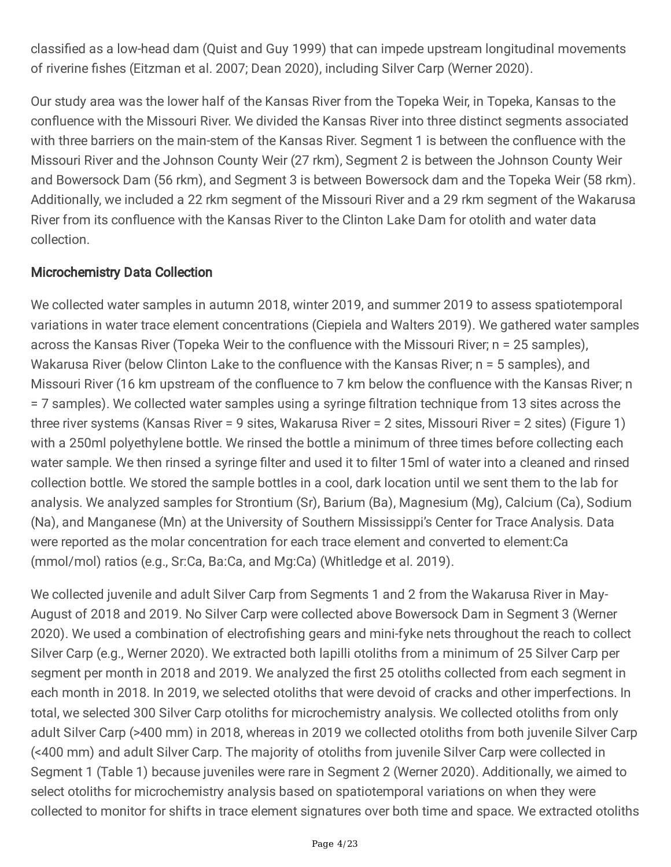classified as a low-head dam (Quist and Guy 1999) that can impede upstream longitudinal movements of riverine fishes (Eitzman et al. 2007; Dean 2020), including Silver Carp (Werner 2020).

Our study area was the lower half of the Kansas River from the Topeka Weir, in Topeka, Kansas to the confluence with the Missouri River. We divided the Kansas River into three distinct segments associated with three barriers on the main-stem of the Kansas River. Segment 1 is between the confluence with the Missouri River and the Johnson County Weir (27 rkm), Segment 2 is between the Johnson County Weir and Bowersock Dam (56 rkm), and Segment 3 is between Bowersock dam and the Topeka Weir (58 rkm). Additionally, we included a 22 rkm segment of the Missouri River and a 29 rkm segment of the Wakarusa River from its confluence with the Kansas River to the Clinton Lake Dam for otolith and water data collection.

### Microchemistry Data Collection

We collected water samples in autumn 2018, winter 2019, and summer 2019 to assess spatiotemporal variations in water trace element concentrations (Ciepiela and Walters 2019). We gathered water samples across the Kansas River (Topeka Weir to the confluence with the Missouri River; n = 25 samples), Wakarusa River (below Clinton Lake to the confluence with the Kansas River; n = 5 samples), and Missouri River (16 km upstream of the confluence to 7 km below the confluence with the Kansas River; n = 7 samples). We collected water samples using a syringe filtration technique from 13 sites across the three river systems (Kansas River = 9 sites, Wakarusa River = 2 sites, Missouri River = 2 sites) (Figure 1) with a 250ml polyethylene bottle. We rinsed the bottle a minimum of three times before collecting each water sample. We then rinsed a syringe filter and used it to filter 15ml of water into a cleaned and rinsed collection bottle. We stored the sample bottles in a cool, dark location until we sent them to the lab for analysis. We analyzed samples for Strontium (Sr), Barium (Ba), Magnesium (Mg), Calcium (Ca), Sodium (Na), and Manganese (Mn) at the University of Southern Mississippi's Center for Trace Analysis. Data were reported as the molar concentration for each trace element and converted to element:Ca (mmol/mol) ratios (e.g., Sr:Ca, Ba:Ca, and Mg:Ca) (Whitledge et al. 2019).

We collected juvenile and adult Silver Carp from Segments 1 and 2 from the Wakarusa River in May-August of 2018 and 2019. No Silver Carp were collected above Bowersock Dam in Segment 3 (Werner 2020). We used a combination of electrofishing gears and mini-fyke nets throughout the reach to collect Silver Carp (e.g., Werner 2020). We extracted both lapilli otoliths from a minimum of 25 Silver Carp per segment per month in 2018 and 2019. We analyzed the first 25 otoliths collected from each segment in each month in 2018. In 2019, we selected otoliths that were devoid of cracks and other imperfections. In total, we selected 300 Silver Carp otoliths for microchemistry analysis. We collected otoliths from only adult Silver Carp (>400 mm) in 2018, whereas in 2019 we collected otoliths from both juvenile Silver Carp (<400 mm) and adult Silver Carp. The majority of otoliths from juvenile Silver Carp were collected in Segment 1 (Table 1) because juveniles were rare in Segment 2 (Werner 2020). Additionally, we aimed to select otoliths for microchemistry analysis based on spatiotemporal variations on when they were collected to monitor for shifts in trace element signatures over both time and space. We extracted otoliths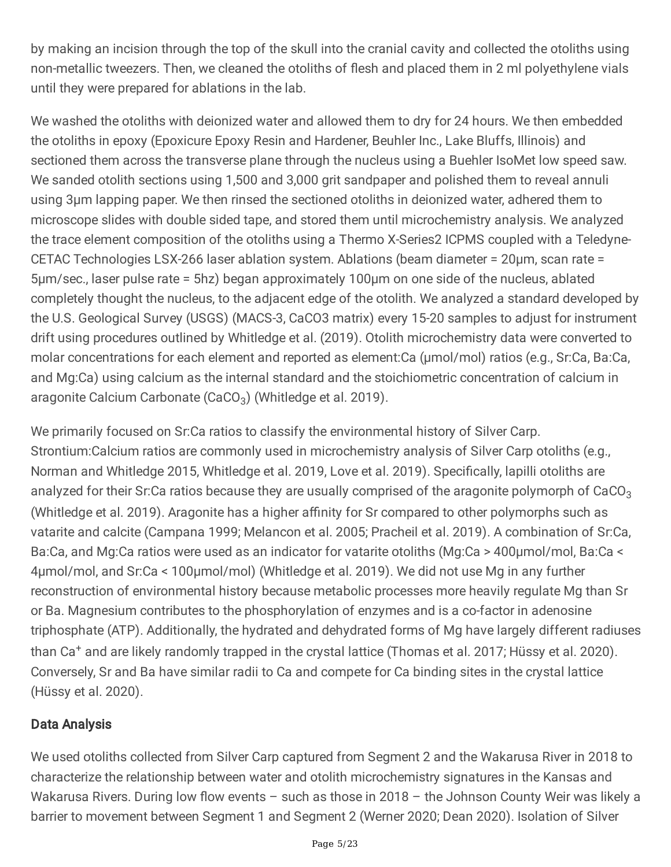by making an incision through the top of the skull into the cranial cavity and collected the otoliths using non-metallic tweezers. Then, we cleaned the otoliths of flesh and placed them in 2 ml polyethylene vials until they were prepared for ablations in the lab.

We washed the otoliths with deionized water and allowed them to dry for 24 hours. We then embedded the otoliths in epoxy (Epoxicure Epoxy Resin and Hardener, Beuhler Inc., Lake Bluffs, Illinois) and sectioned them across the transverse plane through the nucleus using a Buehler IsoMet low speed saw. We sanded otolith sections using 1,500 and 3,000 grit sandpaper and polished them to reveal annuli using 3µm lapping paper. We then rinsed the sectioned otoliths in deionized water, adhered them to microscope slides with double sided tape, and stored them until microchemistry analysis. We analyzed the trace element composition of the otoliths using a Thermo X-Series2 ICPMS coupled with a Teledyne-CETAC Technologies LSX-266 laser ablation system. Ablations (beam diameter = 20μm, scan rate = 5μm/sec., laser pulse rate = 5hz) began approximately 100µm on one side of the nucleus, ablated completely thought the nucleus, to the adjacent edge of the otolith. We analyzed a standard developed by the U.S. Geological Survey (USGS) (MACS-3, CaCO3 matrix) every 15-20 samples to adjust for instrument drift using procedures outlined by Whitledge et al. (2019). Otolith microchemistry data were converted to molar concentrations for each element and reported as element:Ca (µmol/mol) ratios (e.g., Sr:Ca, Ba:Ca, and Mg:Ca) using calcium as the internal standard and the stoichiometric concentration of calcium in aragonite Calcium Carbonate (CaCO $_3$ ) (Whitledge et al. 2019).

We primarily focused on Sr:Ca ratios to classify the environmental history of Silver Carp. Strontium:Calcium ratios are commonly used in microchemistry analysis of Silver Carp otoliths (e.g., Norman and Whitledge 2015, Whitledge et al. 2019, Love et al. 2019). Specifically, lapilli otoliths are analyzed for their Sr:Ca ratios because they are usually comprised of the aragonite polymorph of CaCO<sub>3</sub> (Whitledge et al. 2019). Aragonite has a higher affinity for Sr compared to other polymorphs such as vatarite and calcite (Campana 1999; Melancon et al. 2005; Pracheil et al. 2019). A combination of Sr:Ca, Ba:Ca, and Mg:Ca ratios were used as an indicator for vatarite otoliths (Mg:Ca > 400µmol/mol, Ba:Ca < 4µmol/mol, and Sr:Ca < 100µmol/mol) (Whitledge et al. 2019). We did not use Mg in any further reconstruction of environmental history because metabolic processes more heavily regulate Mg than Sr or Ba. Magnesium contributes to the phosphorylation of enzymes and is a co-factor in adenosine triphosphate (ATP). Additionally, the hydrated and dehydrated forms of Mg have largely different radiuses than Ca <sup>+</sup> and are likely randomly trapped in the crystal lattice (Thomas et al. 2017; Hüssy et al. 2020). Conversely, Sr and Ba have similar radii to Ca and compete for Ca binding sites in the crystal lattice (Hüssy et al. 2020).

### Data Analysis

We used otoliths collected from Silver Carp captured from Segment 2 and the Wakarusa River in 2018 to characterize the relationship between water and otolith microchemistry signatures in the Kansas and Wakarusa Rivers. During low flow events - such as those in 2018 - the Johnson County Weir was likely a barrier to movement between Segment 1 and Segment 2 (Werner 2020; Dean 2020). Isolation of Silver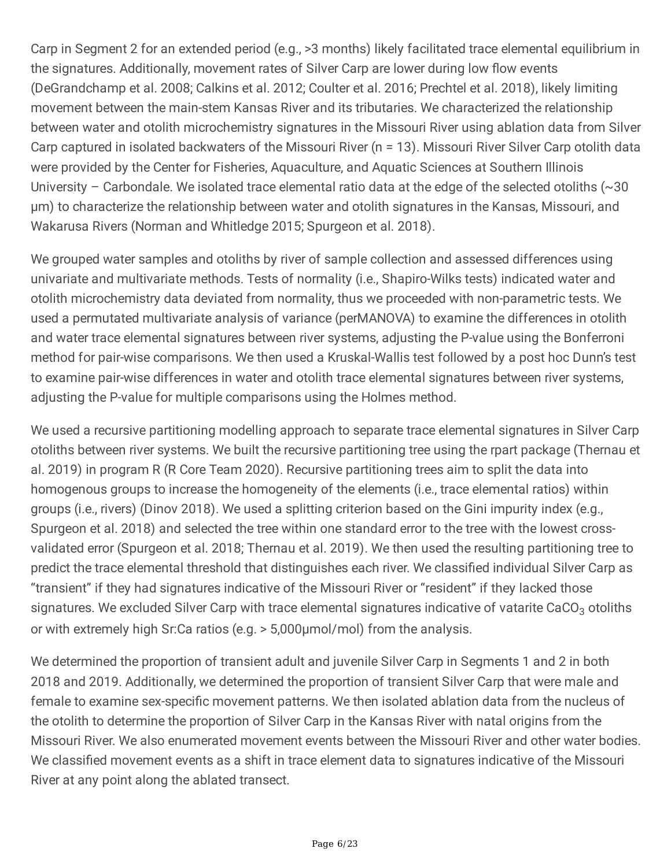Carp in Segment 2 for an extended period (e.g., >3 months) likely facilitated trace elemental equilibrium in the signatures. Additionally, movement rates of Silver Carp are lower during low flow events (DeGrandchamp et al. 2008; Calkins et al. 2012; Coulter et al. 2016; Prechtel et al. 2018), likely limiting movement between the main-stem Kansas River and its tributaries. We characterized the relationship between water and otolith microchemistry signatures in the Missouri River using ablation data from Silver Carp captured in isolated backwaters of the Missouri River (n = 13). Missouri River Silver Carp otolith data were provided by the Center for Fisheries, Aquaculture, and Aquatic Sciences at Southern Illinois University – Carbondale. We isolated trace elemental ratio data at the edge of the selected otoliths (~30 µm) to characterize the relationship between water and otolith signatures in the Kansas, Missouri, and Wakarusa Rivers (Norman and Whitledge 2015; Spurgeon et al. 2018).

We grouped water samples and otoliths by river of sample collection and assessed differences using univariate and multivariate methods. Tests of normality (i.e., Shapiro-Wilks tests) indicated water and otolith microchemistry data deviated from normality, thus we proceeded with non-parametric tests. We used a permutated multivariate analysis of variance (perMANOVA) to examine the differences in otolith and water trace elemental signatures between river systems, adjusting the P-value using the Bonferroni method for pair-wise comparisons. We then used a Kruskal-Wallis test followed by a post hoc Dunn's test to examine pair-wise differences in water and otolith trace elemental signatures between river systems, adjusting the P-value for multiple comparisons using the Holmes method.

We used a recursive partitioning modelling approach to separate trace elemental signatures in Silver Carp otoliths between river systems. We built the recursive partitioning tree using the rpart package (Thernau et al. 2019) in program R (R Core Team 2020). Recursive partitioning trees aim to split the data into homogenous groups to increase the homogeneity of the elements (i.e., trace elemental ratios) within groups (i.e., rivers) (Dinov 2018). We used a splitting criterion based on the Gini impurity index (e.g., Spurgeon et al. 2018) and selected the tree within one standard error to the tree with the lowest crossvalidated error (Spurgeon et al. 2018; Thernau et al. 2019). We then used the resulting partitioning tree to predict the trace elemental threshold that distinguishes each river. We classified individual Silver Carp as "transient" if they had signatures indicative of the Missouri River or "resident" if they lacked those signatures. We excluded Silver Carp with trace elemental signatures indicative of vatarite CaCO<sub>3</sub> otoliths or with extremely high Sr:Ca ratios (e.g. > 5,000µmol/mol) from the analysis.

We determined the proportion of transient adult and juvenile Silver Carp in Segments 1 and 2 in both 2018 and 2019. Additionally, we determined the proportion of transient Silver Carp that were male and female to examine sex-specific movement patterns. We then isolated ablation data from the nucleus of the otolith to determine the proportion of Silver Carp in the Kansas River with natal origins from the Missouri River. We also enumerated movement events between the Missouri River and other water bodies. We classified movement events as a shift in trace element data to signatures indicative of the Missouri River at any point along the ablated transect.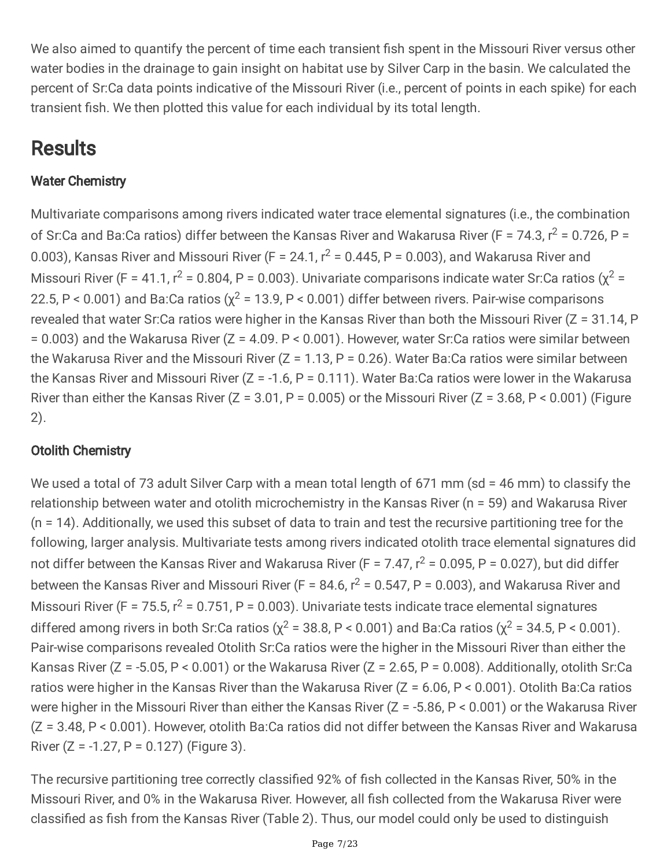We also aimed to quantify the percent of time each transient fish spent in the Missouri River versus other water bodies in the drainage to gain insight on habitat use by Silver Carp in the basin. We calculated the percent of Sr:Ca data points indicative of the Missouri River (i.e., percent of points in each spike) for each transient fish. We then plotted this value for each individual by its total length.

## **Results**

### Water Chemistry

Multivariate comparisons among rivers indicated water trace elemental signatures (i.e., the combination of Sr:Ca and Ba:Ca ratios) differ between the Kansas River and Wakarusa River (F = 74.3,  $r^2$  = 0.726, P = 0.003), Kansas River and Missouri River (F = 24.1,  $r^2$  = 0.445, P = 0.003), and Wakarusa River and Missouri River (F = 41.1,  $r^2$  = 0.804, P = 0.003). Univariate comparisons indicate water Sr:Ca ratios ( $\chi^2$  = 22.5, P < 0.001) and Ba:Ca ratios ( $\chi^2$  = 13.9, P < 0.001) differ between rivers. Pair-wise comparisons revealed that water Sr:Ca ratios were higher in the Kansas River than both the Missouri River (Z = 31.14. P = 0.003) and the Wakarusa River (Z = 4.09. P < 0.001). However, water Sr:Ca ratios were similar between the Wakarusa River and the Missouri River ( $Z = 1.13$ ,  $P = 0.26$ ). Water Ba:Ca ratios were similar between the Kansas River and Missouri River ( $Z = -1.6$ ,  $P = 0.111$ ). Water Ba:Ca ratios were lower in the Wakarusa River than either the Kansas River ( $Z = 3.01$ ,  $P = 0.005$ ) or the Missouri River ( $Z = 3.68$ ,  $P < 0.001$ ) (Figure 2).

### Otolith Chemistry

We used a total of 73 adult Silver Carp with a mean total length of 671 mm (sd = 46 mm) to classify the relationship between water and otolith microchemistry in the Kansas River (n = 59) and Wakarusa River (n = 14). Additionally, we used this subset of data to train and test the recursive partitioning tree for the following, larger analysis. Multivariate tests among rivers indicated otolith trace elemental signatures did not differ between the Kansas River and Wakarusa River (F = 7.47,  $r^2$  = 0.095, P = 0.027), but did differ between the Kansas River and Missouri River (F = 84.6,  $r^2$  = 0.547, P = 0.003), and Wakarusa River and Missouri River (F = 75.5,  $r^2$  = 0.751, P = 0.003). Univariate tests indicate trace elemental signatures differed among rivers in both Sr:Ca ratios ( $\chi^2$  = 38.8, P < 0.001) and Ba:Ca ratios ( $\chi^2$  = 34.5, P < 0.001). Pair-wise comparisons revealed Otolith Sr:Ca ratios were the higher in the Missouri River than either the Kansas River (Z = -5.05, P < 0.001) or the Wakarusa River (Z = 2.65, P = 0.008). Additionally, otolith Sr:Ca ratios were higher in the Kansas River than the Wakarusa River (Z = 6.06, P < 0.001). Otolith Ba:Ca ratios were higher in the Missouri River than either the Kansas River (Z = -5.86, P < 0.001) or the Wakarusa River (Z = 3.48, P < 0.001). However, otolith Ba:Ca ratios did not differ between the Kansas River and Wakarusa River  $(Z = -1.27, P = 0.127)$  (Figure 3).

The recursive partitioning tree correctly classified 92% of fish collected in the Kansas River, 50% in the Missouri River, and 0% in the Wakarusa River. However, all fish collected from the Wakarusa River were classified as fish from the Kansas River (Table 2). Thus, our model could only be used to distinguish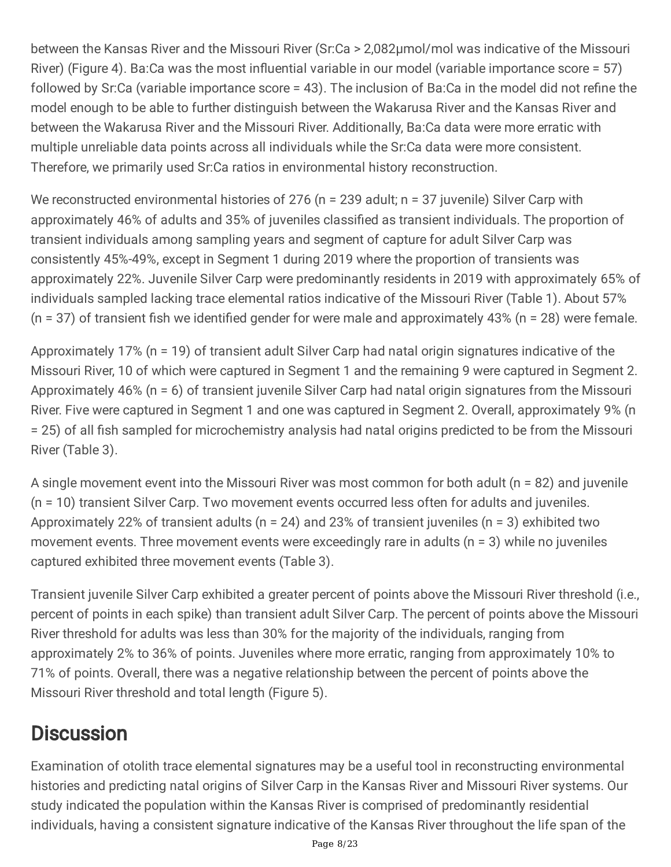between the Kansas River and the Missouri River (Sr:Ca > 2,082µmol/mol was indicative of the Missouri River) (Figure 4). Ba:Ca was the most influential variable in our model (variable importance score = 57) followed by Sr:Ca (variable importance score = 43). The inclusion of Ba:Ca in the model did not refine the model enough to be able to further distinguish between the Wakarusa River and the Kansas River and between the Wakarusa River and the Missouri River. Additionally, Ba:Ca data were more erratic with multiple unreliable data points across all individuals while the Sr:Ca data were more consistent. Therefore, we primarily used Sr:Ca ratios in environmental history reconstruction.

We reconstructed environmental histories of 276 (n = 239 adult; n = 37 juvenile) Silver Carp with approximately 46% of adults and 35% of juveniles classified as transient individuals. The proportion of transient individuals among sampling years and segment of capture for adult Silver Carp was consistently 45%-49%, except in Segment 1 during 2019 where the proportion of transients was approximately 22%. Juvenile Silver Carp were predominantly residents in 2019 with approximately 65% of individuals sampled lacking trace elemental ratios indicative of the Missouri River (Table 1). About 57%  $(n = 37)$  of transient fish we identified gender for were male and approximately 43% (n = 28) were female.

Approximately 17% (n = 19) of transient adult Silver Carp had natal origin signatures indicative of the Missouri River, 10 of which were captured in Segment 1 and the remaining 9 were captured in Segment 2. Approximately 46% (n = 6) of transient juvenile Silver Carp had natal origin signatures from the Missouri River. Five were captured in Segment 1 and one was captured in Segment 2. Overall, approximately 9% (n = 25) of all fish sampled for microchemistry analysis had natal origins predicted to be from the Missouri River (Table 3).

A single movement event into the Missouri River was most common for both adult (n = 82) and juvenile (n = 10) transient Silver Carp. Two movement events occurred less often for adults and juveniles. Approximately 22% of transient adults (n = 24) and 23% of transient juveniles (n = 3) exhibited two movement events. Three movement events were exceedingly rare in adults ( $n = 3$ ) while no juveniles captured exhibited three movement events (Table 3).

Transient juvenile Silver Carp exhibited a greater percent of points above the Missouri River threshold (i.e., percent of points in each spike) than transient adult Silver Carp. The percent of points above the Missouri River threshold for adults was less than 30% for the majority of the individuals, ranging from approximately 2% to 36% of points. Juveniles where more erratic, ranging from approximately 10% to 71% of points. Overall, there was a negative relationship between the percent of points above the Missouri River threshold and total length (Figure 5).

## **Discussion**

Examination of otolith trace elemental signatures may be a useful tool in reconstructing environmental histories and predicting natal origins of Silver Carp in the Kansas River and Missouri River systems. Our study indicated the population within the Kansas River is comprised of predominantly residential individuals, having a consistent signature indicative of the Kansas River throughout the life span of the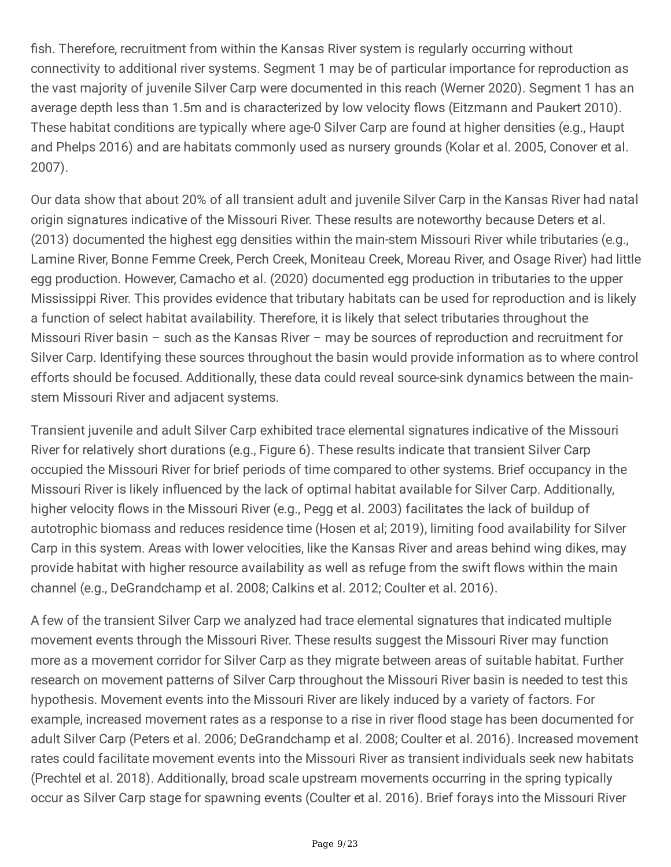fish. Therefore, recruitment from within the Kansas River system is regularly occurring without connectivity to additional river systems. Segment 1 may be of particular importance for reproduction as the vast majority of juvenile Silver Carp were documented in this reach (Werner 2020). Segment 1 has an average depth less than 1.5m and is characterized by low velocity flows (Eitzmann and Paukert 2010). These habitat conditions are typically where age-0 Silver Carp are found at higher densities (e.g., Haupt and Phelps 2016) and are habitats commonly used as nursery grounds (Kolar et al. 2005, Conover et al. 2007).

Our data show that about 20% of all transient adult and juvenile Silver Carp in the Kansas River had natal origin signatures indicative of the Missouri River. These results are noteworthy because Deters et al. (2013) documented the highest egg densities within the main-stem Missouri River while tributaries (e.g., Lamine River, Bonne Femme Creek, Perch Creek, Moniteau Creek, Moreau River, and Osage River) had little egg production. However, Camacho et al. (2020) documented egg production in tributaries to the upper Mississippi River. This provides evidence that tributary habitats can be used for reproduction and is likely a function of select habitat availability. Therefore, it is likely that select tributaries throughout the Missouri River basin – such as the Kansas River – may be sources of reproduction and recruitment for Silver Carp. Identifying these sources throughout the basin would provide information as to where control efforts should be focused. Additionally, these data could reveal source-sink dynamics between the mainstem Missouri River and adjacent systems.

Transient juvenile and adult Silver Carp exhibited trace elemental signatures indicative of the Missouri River for relatively short durations (e.g., Figure 6). These results indicate that transient Silver Carp occupied the Missouri River for brief periods of time compared to other systems. Brief occupancy in the Missouri River is likely influenced by the lack of optimal habitat available for Silver Carp. Additionally, higher velocity flows in the Missouri River (e.g., Pegg et al. 2003) facilitates the lack of buildup of autotrophic biomass and reduces residence time (Hosen et al; 2019), limiting food availability for Silver Carp in this system. Areas with lower velocities, like the Kansas River and areas behind wing dikes, may provide habitat with higher resource availability as well as refuge from the swift flows within the main channel (e.g., DeGrandchamp et al. 2008; Calkins et al. 2012; Coulter et al. 2016).

A few of the transient Silver Carp we analyzed had trace elemental signatures that indicated multiple movement events through the Missouri River. These results suggest the Missouri River may function more as a movement corridor for Silver Carp as they migrate between areas of suitable habitat. Further research on movement patterns of Silver Carp throughout the Missouri River basin is needed to test this hypothesis. Movement events into the Missouri River are likely induced by a variety of factors. For example, increased movement rates as a response to a rise in river flood stage has been documented for adult Silver Carp (Peters et al. 2006; DeGrandchamp et al. 2008; Coulter et al. 2016). Increased movement rates could facilitate movement events into the Missouri River as transient individuals seek new habitats (Prechtel et al. 2018). Additionally, broad scale upstream movements occurring in the spring typically occur as Silver Carp stage for spawning events (Coulter et al. 2016). Brief forays into the Missouri River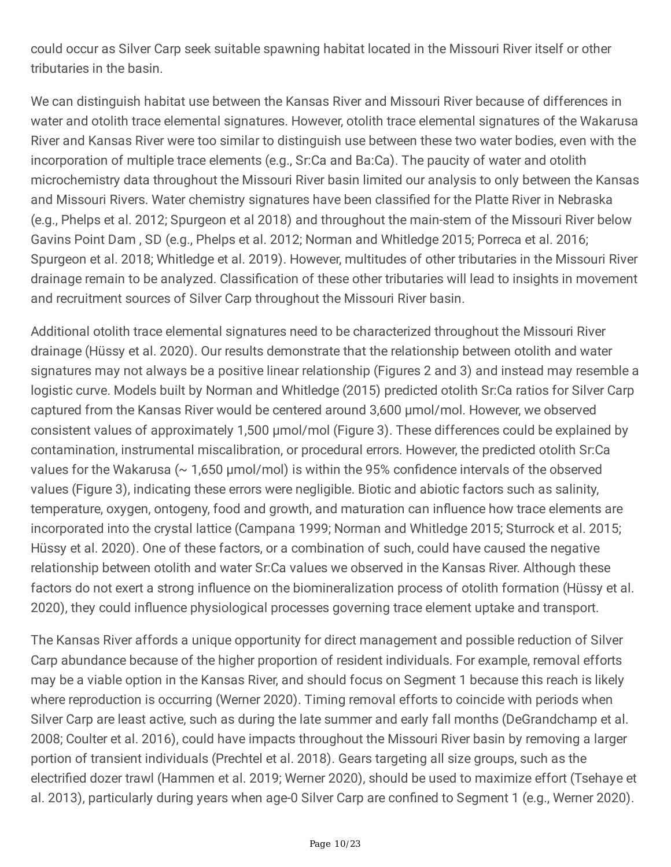could occur as Silver Carp seek suitable spawning habitat located in the Missouri River itself or other tributaries in the basin.

We can distinguish habitat use between the Kansas River and Missouri River because of differences in water and otolith trace elemental signatures. However, otolith trace elemental signatures of the Wakarusa River and Kansas River were too similar to distinguish use between these two water bodies, even with the incorporation of multiple trace elements (e.g., Sr:Ca and Ba:Ca). The paucity of water and otolith microchemistry data throughout the Missouri River basin limited our analysis to only between the Kansas and Missouri Rivers. Water chemistry signatures have been classified for the Platte River in Nebraska (e.g., Phelps et al. 2012; Spurgeon et al 2018) and throughout the main-stem of the Missouri River below Gavins Point Dam , SD (e.g., Phelps et al. 2012; Norman and Whitledge 2015; Porreca et al. 2016; Spurgeon et al. 2018; Whitledge et al. 2019). However, multitudes of other tributaries in the Missouri River drainage remain to be analyzed. Classification of these other tributaries will lead to insights in movement and recruitment sources of Silver Carp throughout the Missouri River basin.

Additional otolith trace elemental signatures need to be characterized throughout the Missouri River drainage (Hüssy et al. 2020). Our results demonstrate that the relationship between otolith and water signatures may not always be a positive linear relationship (Figures 2 and 3) and instead may resemble a logistic curve. Models built by Norman and Whitledge (2015) predicted otolith Sr:Ca ratios for Silver Carp captured from the Kansas River would be centered around 3,600 µmol/mol. However, we observed consistent values of approximately 1,500 µmol/mol (Figure 3). These differences could be explained by contamination, instrumental miscalibration, or procedural errors. However, the predicted otolith Sr:Ca values for the Wakarusa ( $\sim$  1,650 µmol/mol) is within the 95% confidence intervals of the observed values (Figure 3), indicating these errors were negligible. Biotic and abiotic factors such as salinity, temperature, oxygen, ontogeny, food and growth, and maturation can influence how trace elements are incorporated into the crystal lattice (Campana 1999; Norman and Whitledge 2015; Sturrock et al. 2015; Hüssy et al. 2020). One of these factors, or a combination of such, could have caused the negative relationship between otolith and water Sr:Ca values we observed in the Kansas River. Although these factors do not exert a strong influence on the biomineralization process of otolith formation (Hüssy et al. 2020), they could influence physiological processes governing trace element uptake and transport.

The Kansas River affords a unique opportunity for direct management and possible reduction of Silver Carp abundance because of the higher proportion of resident individuals. For example, removal efforts may be a viable option in the Kansas River, and should focus on Segment 1 because this reach is likely where reproduction is occurring (Werner 2020). Timing removal efforts to coincide with periods when Silver Carp are least active, such as during the late summer and early fall months (DeGrandchamp et al. 2008; Coulter et al. 2016), could have impacts throughout the Missouri River basin by removing a larger portion of transient individuals (Prechtel et al. 2018). Gears targeting all size groups, such as the electrified dozer trawl (Hammen et al. 2019; Werner 2020), should be used to maximize effort (Tsehaye et al. 2013), particularly during years when age-0 Silver Carp are confined to Segment 1 (e.g., Werner 2020).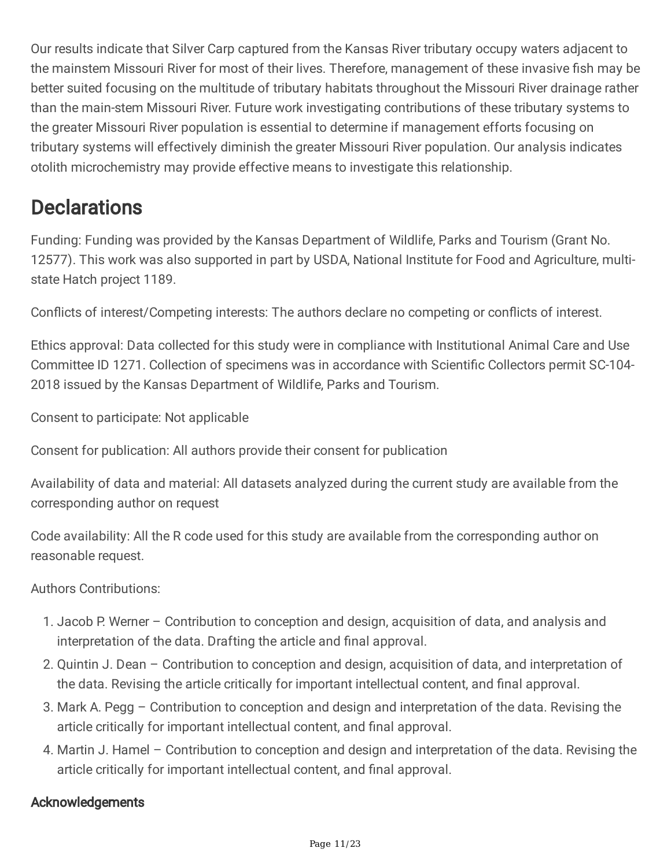Our results indicate that Silver Carp captured from the Kansas River tributary occupy waters adjacent to the mainstem Missouri River for most of their lives. Therefore, management of these invasive fish may be better suited focusing on the multitude of tributary habitats throughout the Missouri River drainage rather than the main-stem Missouri River. Future work investigating contributions of these tributary systems to the greater Missouri River population is essential to determine if management efforts focusing on tributary systems will effectively diminish the greater Missouri River population. Our analysis indicates otolith microchemistry may provide effective means to investigate this relationship.

### **Declarations**

Funding: Funding was provided by the Kansas Department of Wildlife, Parks and Tourism (Grant No. 12577). This work was also supported in part by USDA, National Institute for Food and Agriculture, multistate Hatch project 1189.

Conflicts of interest/Competing interests: The authors declare no competing or conflicts of interest.

Ethics approval: Data collected for this study were in compliance with Institutional Animal Care and Use Committee ID 1271. Collection of specimens was in accordance with Scientific Collectors permit SC-104- 2018 issued by the Kansas Department of Wildlife, Parks and Tourism.

Consent to participate: Not applicable

Consent for publication: All authors provide their consent for publication

Availability of data and material: All datasets analyzed during the current study are available from the corresponding author on request

Code availability: All the R code used for this study are available from the corresponding author on reasonable request.

Authors Contributions:

- 1. Jacob P. Werner Contribution to conception and design, acquisition of data, and analysis and interpretation of the data. Drafting the article and final approval.
- 2. Quintin J. Dean Contribution to conception and design, acquisition of data, and interpretation of the data. Revising the article critically for important intellectual content, and final approval.
- 3. Mark A. Pegg Contribution to conception and design and interpretation of the data. Revising the article critically for important intellectual content, and final approval.
- 4. Martin J. Hamel Contribution to conception and design and interpretation of the data. Revising the article critically for important intellectual content, and final approval.

### Acknowledgements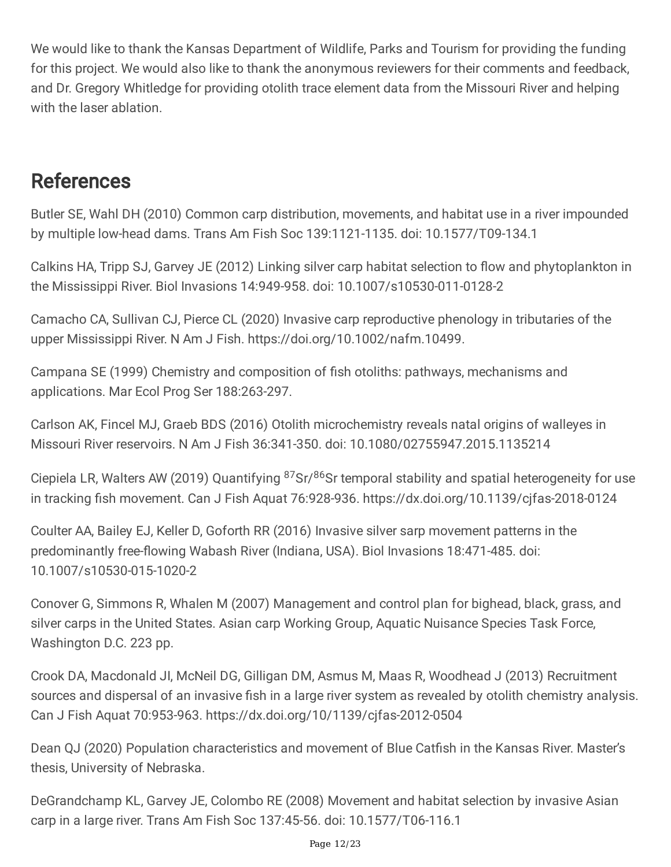We would like to thank the Kansas Department of Wildlife, Parks and Tourism for providing the funding for this project. We would also like to thank the anonymous reviewers for their comments and feedback, and Dr. Gregory Whitledge for providing otolith trace element data from the Missouri River and helping with the laser ablation.

## References

Butler SE, Wahl DH (2010) Common carp distribution, movements, and habitat use in a river impounded by multiple low-head dams. Trans Am Fish Soc 139:1121-1135. doi: 10.1577/T09-134.1

Calkins HA, Tripp SJ, Garvey JE (2012) Linking silver carp habitat selection to flow and phytoplankton in the Mississippi River. Biol Invasions 14:949-958. doi: 10.1007/s10530-011-0128-2

Camacho CA, Sullivan CJ, Pierce CL (2020) Invasive carp reproductive phenology in tributaries of the upper Mississippi River. N Am J Fish. https://doi.org/10.1002/nafm.10499.

Campana SE (1999) Chemistry and composition of fish otoliths: pathways, mechanisms and applications. Mar Ecol Prog Ser 188:263-297.

Carlson AK, Fincel MJ, Graeb BDS (2016) Otolith microchemistry reveals natal origins of walleyes in Missouri River reservoirs. N Am J Fish 36:341-350. doi: 10.1080/02755947.2015.1135214

Ciepiela LR, Walters AW (2019) Quantifying <sup>87</sup>Sr/<sup>86</sup>Sr temporal stability and spatial heterogeneity for use in tracking fish movement. Can J Fish Aquat 76:928-936. https://dx.doi.org/10.1139/cjfas-2018-0124

Coulter AA, Bailey EJ, Keller D, Goforth RR (2016) Invasive silver sarp movement patterns in the predominantly free-flowing Wabash River (Indiana, USA). Biol Invasions 18:471-485. doi: 10.1007/s10530-015-1020-2

Conover G, Simmons R, Whalen M (2007) Management and control plan for bighead, black, grass, and silver carps in the United States. Asian carp Working Group, Aquatic Nuisance Species Task Force, Washington D.C. 223 pp.

Crook DA, Macdonald JI, McNeil DG, Gilligan DM, Asmus M, Maas R, Woodhead J (2013) Recruitment sources and dispersal of an invasive fish in a large river system as revealed by otolith chemistry analysis. Can J Fish Aquat 70:953-963. https://dx.doi.org/10/1139/cjfas-2012-0504

Dean QJ (2020) Population characteristics and movement of Blue Catfish in the Kansas River. Master's thesis, University of Nebraska.

DeGrandchamp KL, Garvey JE, Colombo RE (2008) Movement and habitat selection by invasive Asian carp in a large river. Trans Am Fish Soc 137:45-56. doi: 10.1577/T06-116.1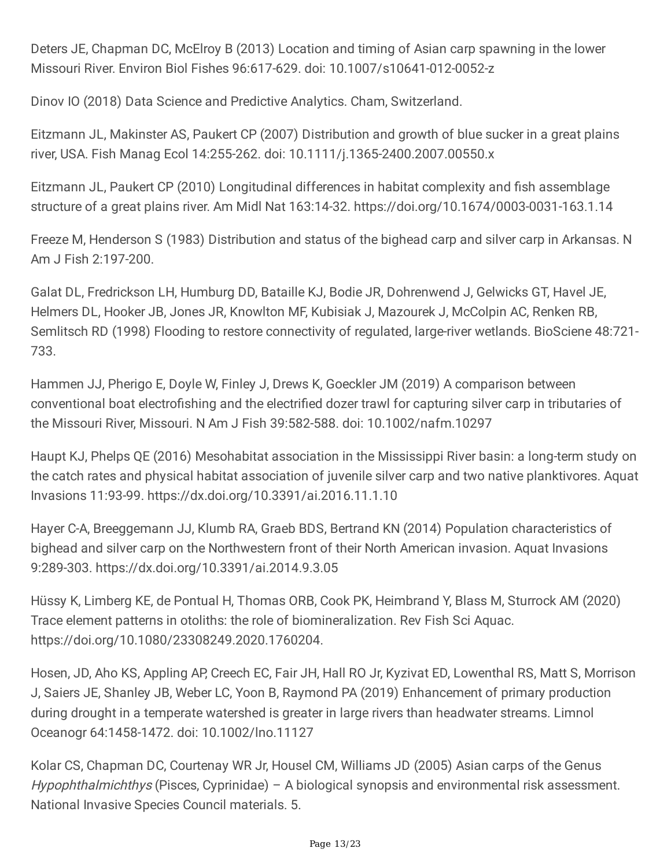Deters JE, Chapman DC, McElroy B (2013) Location and timing of Asian carp spawning in the lower Missouri River. Environ Biol Fishes 96:617-629. doi: 10.1007/s10641-012-0052-z

Dinov IO (2018) Data Science and Predictive Analytics. Cham, Switzerland.

Eitzmann JL, Makinster AS, Paukert CP (2007) Distribution and growth of blue sucker in a great plains river, USA. Fish Manag Ecol 14:255-262. doi: 10.1111/j.1365-2400.2007.00550.x

Eitzmann JL, Paukert CP (2010) Longitudinal differences in habitat complexity and fish assemblage structure of a great plains river. Am Midl Nat 163:14-32. https://doi.org/10.1674/0003-0031-163.1.14

Freeze M, Henderson S (1983) Distribution and status of the bighead carp and silver carp in Arkansas. N Am J Fish 2:197-200.

Galat DL, Fredrickson LH, Humburg DD, Bataille KJ, Bodie JR, Dohrenwend J, Gelwicks GT, Havel JE, Helmers DL, Hooker JB, Jones JR, Knowlton MF, Kubisiak J, Mazourek J, McColpin AC, Renken RB, Semlitsch RD (1998) Flooding to restore connectivity of regulated, large-river wetlands. BioSciene 48:721- 733.

Hammen JJ, Pherigo E, Doyle W, Finley J, Drews K, Goeckler JM (2019) A comparison between conventional boat electrofishing and the electrified dozer trawl for capturing silver carp in tributaries of the Missouri River, Missouri. N Am J Fish 39:582-588. doi: 10.1002/nafm.10297

Haupt KJ, Phelps QE (2016) Mesohabitat association in the Mississippi River basin: a long-term study on the catch rates and physical habitat association of juvenile silver carp and two native planktivores. Aquat Invasions 11:93-99. https://dx.doi.org/10.3391/ai.2016.11.1.10

Hayer C-A, Breeggemann JJ, Klumb RA, Graeb BDS, Bertrand KN (2014) Population characteristics of bighead and silver carp on the Northwestern front of their North American invasion. Aquat Invasions 9:289-303. https://dx.doi.org/10.3391/ai.2014.9.3.05

Hüssy K, Limberg KE, de Pontual H, Thomas ORB, Cook PK, Heimbrand Y, Blass M, Sturrock AM (2020) Trace element patterns in otoliths: the role of biomineralization. Rev Fish Sci Aquac. https://doi.org/10.1080/23308249.2020.1760204.

Hosen, JD, Aho KS, Appling AP, Creech EC, Fair JH, Hall RO Jr, Kyzivat ED, Lowenthal RS, Matt S, Morrison J, Saiers JE, Shanley JB, Weber LC, Yoon B, Raymond PA (2019) Enhancement of primary production during drought in a temperate watershed is greater in large rivers than headwater streams. Limnol Oceanogr 64:1458-1472. doi: 10.1002/lno.11127

Kolar CS, Chapman DC, Courtenay WR Jr, Housel CM, Williams JD (2005) Asian carps of the Genus  $Hypophthalmichthys$  (Pisces, Cyprinidae) – A biological synopsis and environmental risk assessment. National Invasive Species Council materials. 5.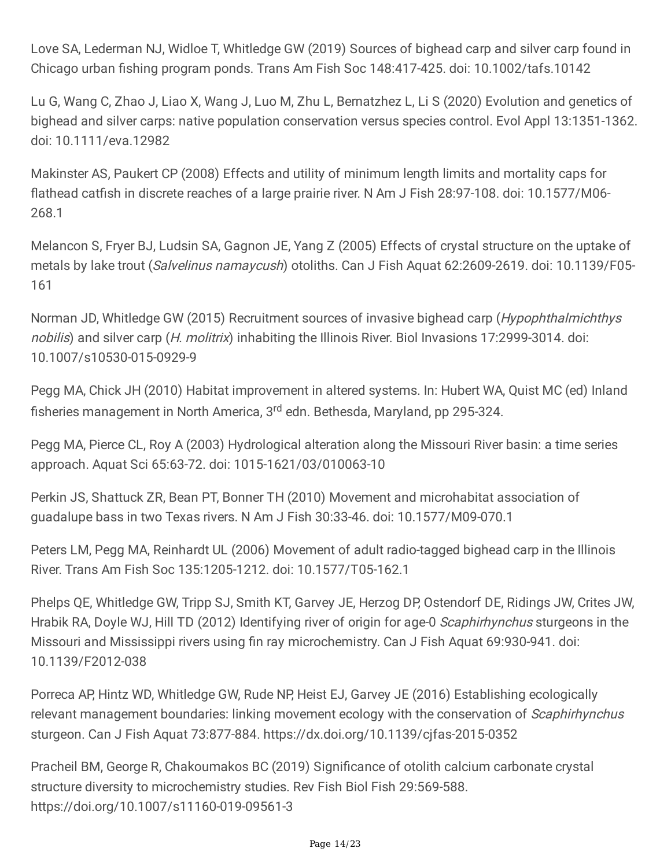Love SA, Lederman NJ, Widloe T, Whitledge GW (2019) Sources of bighead carp and silver carp found in Chicago urban fishing program ponds. Trans Am Fish Soc 148:417-425. doi: 10.1002/tafs.10142

Lu G, Wang C, Zhao J, Liao X, Wang J, Luo M, Zhu L, Bernatzhez L, Li S (2020) Evolution and genetics of bighead and silver carps: native population conservation versus species control. Evol Appl 13:1351-1362. doi: 10.1111/eva.12982

Makinster AS, Paukert CP (2008) Effects and utility of minimum length limits and mortality caps for flathead catfish in discrete reaches of a large prairie river. N Am J Fish 28:97-108. doi: 10.1577/M06- 268.1

Melancon S, Fryer BJ, Ludsin SA, Gagnon JE, Yang Z (2005) Effects of crystal structure on the uptake of metals by lake trout (Salvelinus namaycush) otoliths. Can J Fish Aquat 62:2609-2619. doi: 10.1139/F05-161

Norman JD, Whitledge GW (2015) Recruitment sources of invasive bighead carp (Hypophthalmichthys nobilis) and silver carp (H. molitrix) inhabiting the Illinois River. Biol Invasions 17:2999-3014. doi: 10.1007/s10530-015-0929-9

Pegg MA, Chick JH (2010) Habitat improvement in altered systems. In: Hubert WA, Quist MC (ed) Inland fisheries management in North America, 3<sup>rd</sup> edn. Bethesda, Maryland, pp 295-324.

Pegg MA, Pierce CL, Roy A (2003) Hydrological alteration along the Missouri River basin: a time series approach. Aquat Sci 65:63-72. doi: 1015-1621/03/010063-10

Perkin JS, Shattuck ZR, Bean PT, Bonner TH (2010) Movement and microhabitat association of guadalupe bass in two Texas rivers. N Am J Fish 30:33-46. doi: 10.1577/M09-070.1

Peters LM, Pegg MA, Reinhardt UL (2006) Movement of adult radio-tagged bighead carp in the Illinois River. Trans Am Fish Soc 135:1205-1212. doi: 10.1577/T05-162.1

Phelps QE, Whitledge GW, Tripp SJ, Smith KT, Garvey JE, Herzog DP, Ostendorf DE, Ridings JW, Crites JW, Hrabik RA, Doyle WJ, Hill TD (2012) Identifying river of origin for age-0 Scaphirhynchus sturgeons in the Missouri and Mississippi rivers using fin ray microchemistry. Can J Fish Aquat 69:930-941. doi: 10.1139/F2012-038

Porreca AP, Hintz WD, Whitledge GW, Rude NP, Heist EJ, Garvey JE (2016) Establishing ecologically relevant management boundaries: linking movement ecology with the conservation of Scaphirhynchus sturgeon. Can J Fish Aquat 73:877-884. https://dx.doi.org/10.1139/cjfas-2015-0352

Pracheil BM, George R, Chakoumakos BC (2019) Significance of otolith calcium carbonate crystal structure diversity to microchemistry studies. Rev Fish Biol Fish 29:569-588. https://doi.org/10.1007/s11160-019-09561-3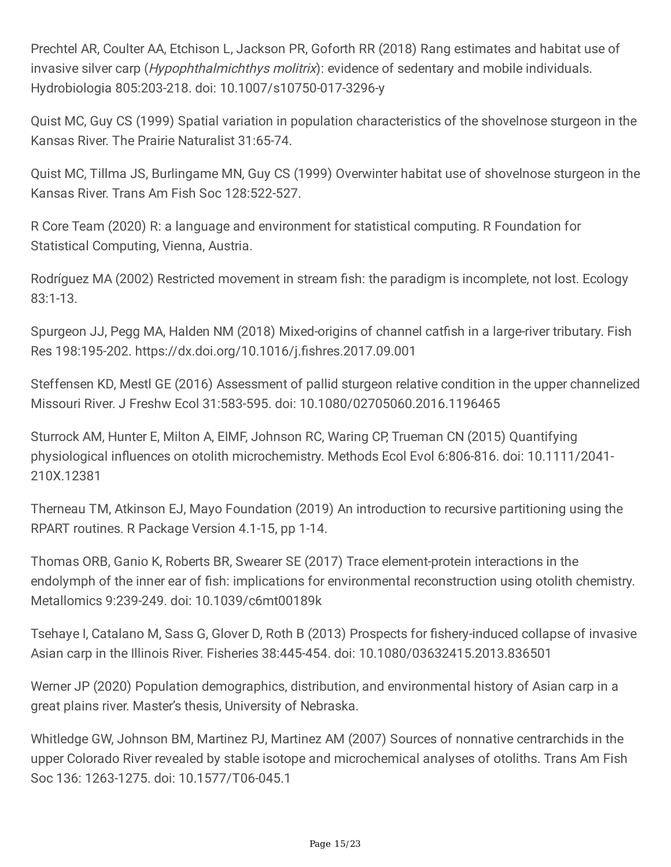Prechtel AR, Coulter AA, Etchison L, Jackson PR, Goforth RR (2018) Rang estimates and habitat use of invasive silver carp (*Hypophthalmichthys molitrix*): evidence of sedentary and mobile individuals. Hydrobiologia 805:203-218. doi: 10.1007/s10750-017-3296-y

Quist MC, Guy CS (1999) Spatial variation in population characteristics of the shovelnose sturgeon in the Kansas River. The Prairie Naturalist 31:65-74.

Quist MC, Tillma JS, Burlingame MN, Guy CS (1999) Overwinter habitat use of shovelnose sturgeon in the Kansas River. Trans Am Fish Soc 128:522-527.

R Core Team (2020) R: a language and environment for statistical computing. R Foundation for Statistical Computing, Vienna, Austria.

Rodríguez MA (2002) Restricted movement in stream fish: the paradigm is incomplete, not lost. Ecology 83:1-13.

Spurgeon JJ, Pegg MA, Halden NM (2018) Mixed-origins of channel catfish in a large-river tributary. Fish Res 198:195-202. https://dx.doi.org/10.1016/j.fishres.2017.09.001

Steffensen KD, Mestl GE (2016) Assessment of pallid sturgeon relative condition in the upper channelized Missouri River. J Freshw Ecol 31:583-595. doi: 10.1080/02705060.2016.1196465

Sturrock AM, Hunter E, Milton A, EIMF, Johnson RC, Waring CP, Trueman CN (2015) Quantifying physiological influences on otolith microchemistry. Methods Ecol Evol 6:806-816. doi: 10.1111/2041- 210X.12381

Therneau TM, Atkinson EJ, Mayo Foundation (2019) An introduction to recursive partitioning using the RPART routines. R Package Version 4.1-15, pp 1-14.

Thomas ORB, Ganio K, Roberts BR, Swearer SE (2017) Trace element-protein interactions in the endolymph of the inner ear of fish: implications for environmental reconstruction using otolith chemistry. Metallomics 9:239-249. doi: 10.1039/c6mt00189k

Tsehaye I, Catalano M, Sass G, Glover D, Roth B (2013) Prospects for fishery-induced collapse of invasive Asian carp in the Illinois River. Fisheries 38:445-454. doi: 10.1080/03632415.2013.836501

Werner JP (2020) Population demographics, distribution, and environmental history of Asian carp in a great plains river. Master's thesis, University of Nebraska.

Whitledge GW, Johnson BM, Martinez PJ, Martinez AM (2007) Sources of nonnative centrarchids in the upper Colorado River revealed by stable isotope and microchemical analyses of otoliths. Trans Am Fish Soc 136: 1263-1275. doi: 10.1577/T06-045.1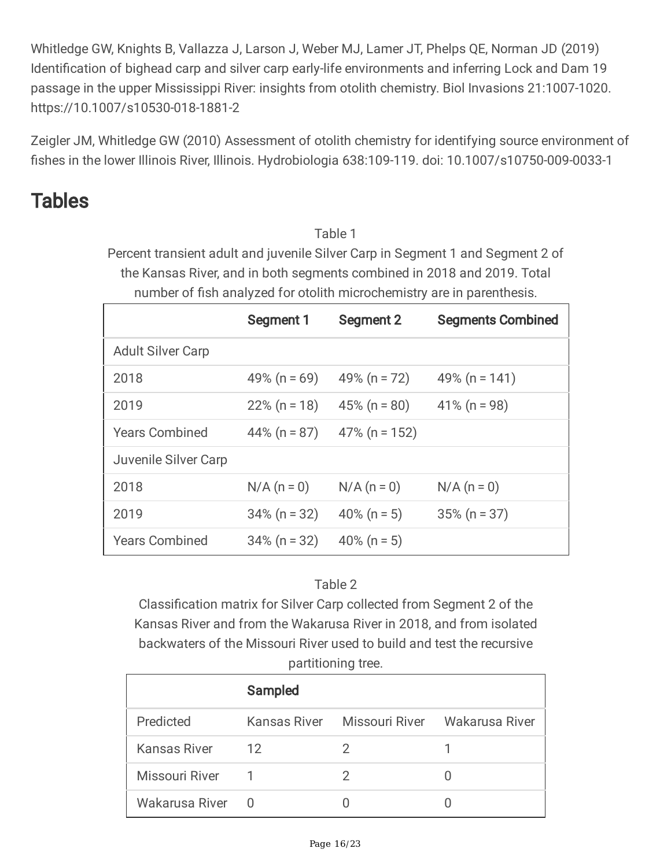Whitledge GW, Knights B, Vallazza J, Larson J, Weber MJ, Lamer JT, Phelps QE, Norman JD (2019) Identification of bighead carp and silver carp early-life environments and inferring Lock and Dam 19 passage in the upper Mississippi River: insights from otolith chemistry. Biol Invasions 21:1007-1020. https://10.1007/s10530-018-1881-2

Zeigler JM, Whitledge GW (2010) Assessment of otolith chemistry for identifying source environment of fishes in the lower Illinois River, Illinois. Hydrobiologia 638:109-119. doi: 10.1007/s10750-009-0033-1

## Tables

Table 1

Percent transient adult and juvenile Silver Carp in Segment 1 and Segment 2 of the Kansas River, and in both segments combined in 2018 and 2019. Total number of fish analyzed for otolith microchemistry are in parenthesis.

|                          | <b>Segment 1</b> | <b>Segment 2</b> | <b>Segments Combined</b> |
|--------------------------|------------------|------------------|--------------------------|
| <b>Adult Silver Carp</b> |                  |                  |                          |
| 2018                     | 49% ( $n = 69$ ) | 49% (n = $72$ )  | 49% (n = $141$ )         |
| 2019                     | $22\%$ (n = 18)  | $45\%$ (n = 80)  | $41\%$ (n = 98)          |
| <b>Years Combined</b>    | 44% ( $n = 87$ ) | $47\%$ (n = 152) |                          |
| Juvenile Silver Carp     |                  |                  |                          |
| 2018                     | $N/A (n = 0)$    | $N/A (n = 0)$    | $N/A (n = 0)$            |
| 2019                     | $34\%$ (n = 32)  | 40% ( $n = 5$ )  | $35\%$ (n = 37)          |
| <b>Years Combined</b>    | $34\%$ (n = 32)  | 40% (n = 5)      |                          |

### Table 2

Classification matrix for Silver Carp collected from Segment 2 of the Kansas River and from the Wakarusa River in 2018, and from isolated backwaters of the Missouri River used to build and test the recursive partitioning tree.

|                  | Sampled |    |                                            |  |  |
|------------------|---------|----|--------------------------------------------|--|--|
| Predicted        |         |    | Kansas River Missouri River Wakarusa River |  |  |
| Kansas River     | 12      | ') |                                            |  |  |
| Missouri River   |         | 2  |                                            |  |  |
| Wakarusa River 0 |         |    |                                            |  |  |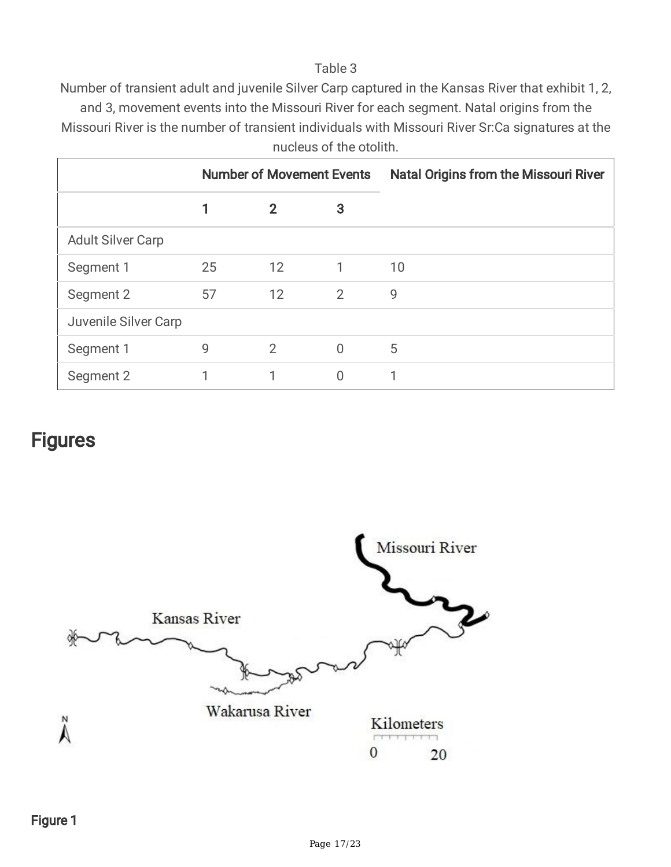#### Table 3

Number of transient adult and juvenile Silver Carp captured in the Kansas River that exhibit 1, 2,

and 3, movement events into the Missouri River for each segment. Natal origins from the Missouri River is the number of transient individuals with Missouri River Sr:Ca signatures at the nucleus of the otolith.

|                          |    | <b>Number of Movement Events</b> |                | <b>Natal Origins from the Missouri River</b> |
|--------------------------|----|----------------------------------|----------------|----------------------------------------------|
|                          |    | $\mathbf{2}$                     | 3              |                                              |
| <b>Adult Silver Carp</b> |    |                                  |                |                                              |
| Segment 1                | 25 | 12                               | 1              | 10                                           |
| Segment 2                | 57 | $12 \overline{ }$                | $\overline{2}$ | 9                                            |
| Juvenile Silver Carp     |    |                                  |                |                                              |
| Segment 1                | 9  | 2                                | $\overline{0}$ | 5                                            |
| Segment 2                |    |                                  | N              |                                              |

### **Figures**

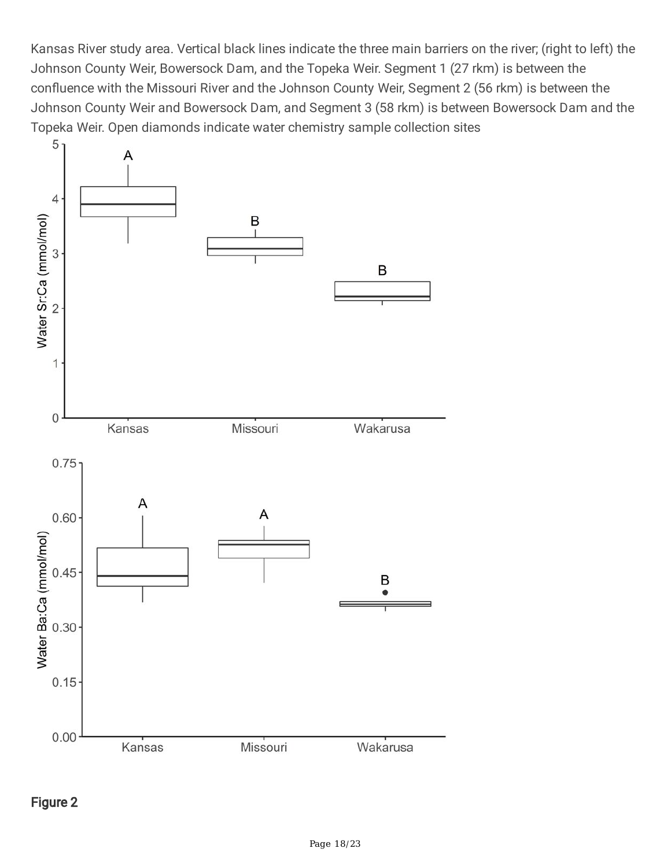Kansas River study area. Vertical black lines indicate the three main barriers on the river; (right to left) the Johnson County Weir, Bowersock Dam, and the Topeka Weir. Segment 1 (27 rkm) is between the confluence with the Missouri River and the Johnson County Weir, Segment 2 (56 rkm) is between the Johnson County Weir and Bowersock Dam, and Segment 3 (58 rkm) is between Bowersock Dam and the Topeka Weir. Open diamonds indicate water chemistry sample collection sites

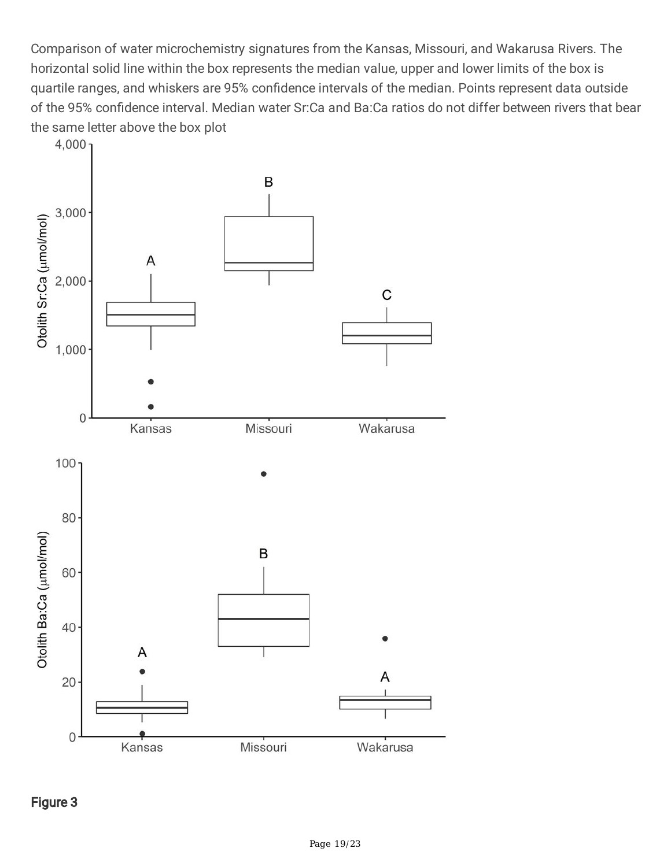Comparison of water microchemistry signatures from the Kansas, Missouri, and Wakarusa Rivers. The horizontal solid line within the box represents the median value, upper and lower limits of the box is quartile ranges, and whiskers are 95% confidence intervals of the median. Points represent data outside of the 95% confidence interval. Median water Sr:Ca and Ba:Ca ratios do not differ between rivers that bear the same letter above the box plot

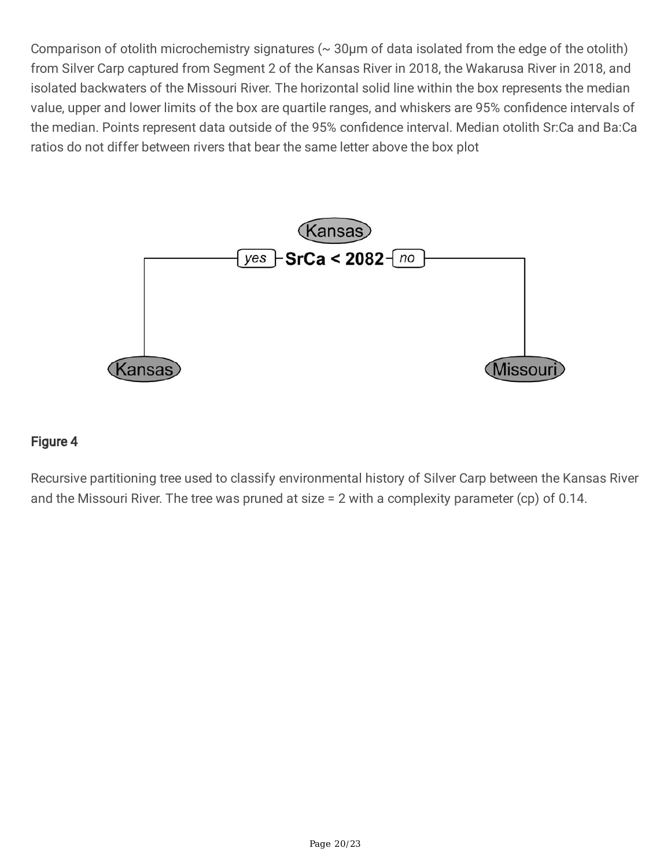Comparison of otolith microchemistry signatures ( $\sim$  30 $\mu$ m of data isolated from the edge of the otolith) from Silver Carp captured from Segment 2 of the Kansas River in 2018, the Wakarusa River in 2018, and isolated backwaters of the Missouri River. The horizontal solid line within the box represents the median value, upper and lower limits of the box are quartile ranges, and whiskers are 95% confidence intervals of the median. Points represent data outside of the 95% confidence interval. Median otolith Sr:Ca and Ba:Ca ratios do not differ between rivers that bear the same letter above the box plot



### Figure 4

Recursive partitioning tree used to classify environmental history of Silver Carp between the Kansas River and the Missouri River. The tree was pruned at size = 2 with a complexity parameter (cp) of 0.14.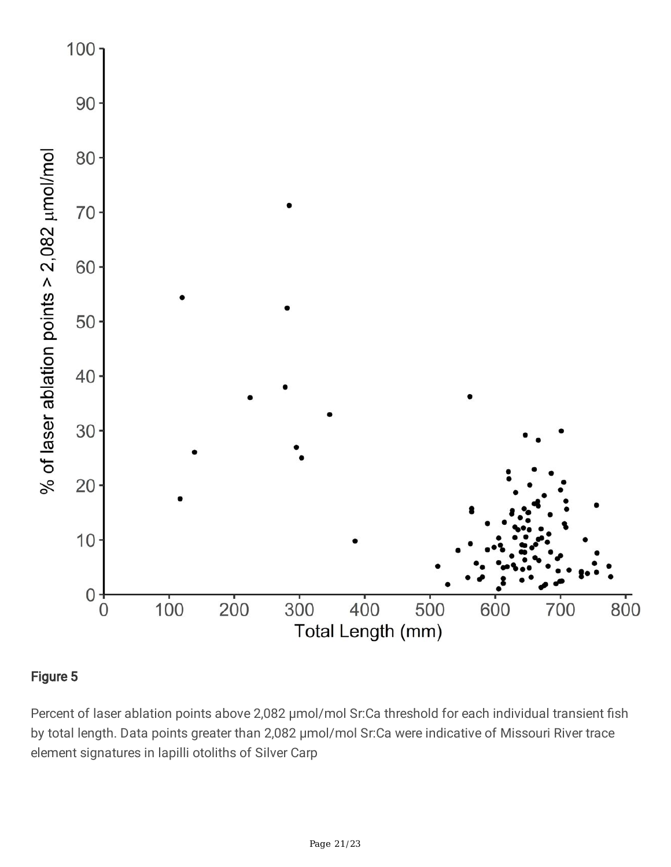

### Figure 5

Percent of laser ablation points above 2,082 μmol/mol Sr:Ca threshold for each individual transient fish by total length. Data points greater than 2,082 μmol/mol Sr:Ca were indicative of Missouri River trace element signatures in lapilli otoliths of Silver Carp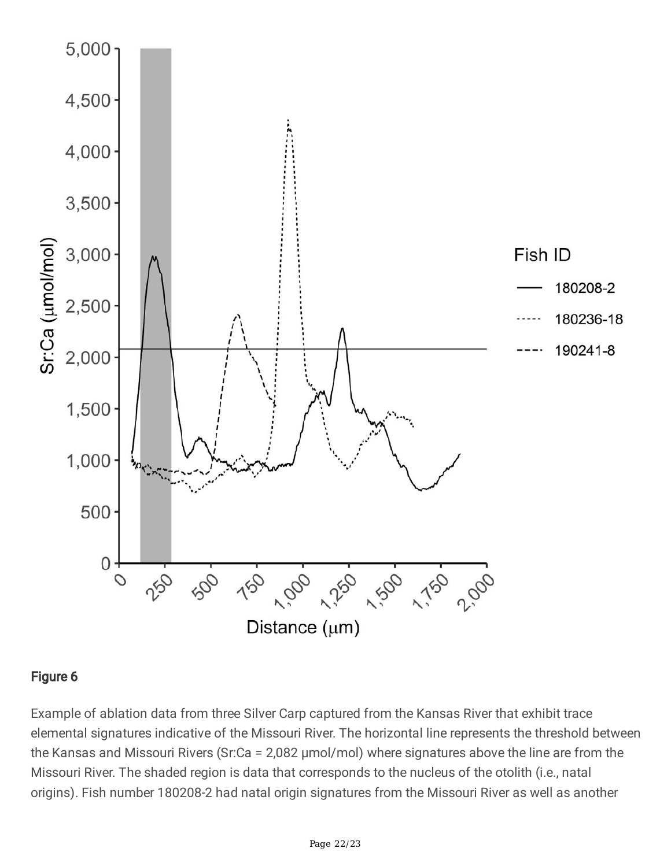

### Figure 6

Example of ablation data from three Silver Carp captured from the Kansas River that exhibit trace elemental signatures indicative of the Missouri River. The horizontal line represents the threshold between the Kansas and Missouri Rivers (Sr:Ca = 2,082 μmol/mol) where signatures above the line are from the Missouri River. The shaded region is data that corresponds to the nucleus of the otolith (i.e., natal origins). Fish number 180208-2 had natal origin signatures from the Missouri River as well as another